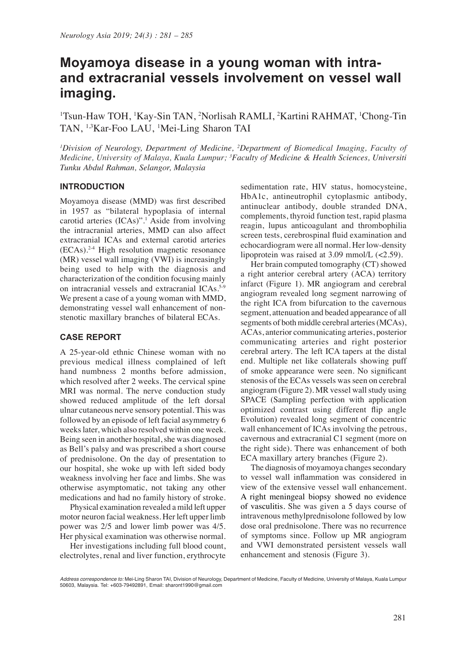# **Moyamoya disease in a young woman with intraand extracranial vessels involvement on vessel wall imaging.**

<sup>1</sup>Tsun-Haw TOH, <sup>1</sup>Kay-Sin TAN, <sup>2</sup>Norlisah RAMLI, <sup>2</sup>Kartini RAHMAT, <sup>1</sup>Chong-Tin TAN, 1,3Kar-Foo LAU, 1 Mei-Ling Sharon TAI

*1 Division of Neurology, Department of Medicine, 2 Department of Biomedical Imaging, Faculty of Medicine, University of Malaya, Kuala Lumpur; 3 Faculty of Medicine & Health Sciences, Universiti Tunku Abdul Rahman, Selangor, Malaysia*

## **INTRODUCTION**

Moyamoya disease (MMD) was first described in 1957 as "bilateral hypoplasia of internal carotid arteries (ICAs)".1 Aside from involving the intracranial arteries, MMD can also affect extracranial ICAs and external carotid arteries (ECAs).2-4 High resolution magnetic resonance (MR) vessel wall imaging (VWI) is increasingly being used to help with the diagnosis and characterization of the condition focusing mainly on intracranial vessels and extracranial ICAs.<sup>5.9</sup> We present a case of a young woman with MMD, demonstrating vessel wall enhancement of nonstenotic maxillary branches of bilateral ECAs.

#### **CASE REPORT**

A 25-year-old ethnic Chinese woman with no previous medical illness complained of left hand numbness 2 months before admission, which resolved after 2 weeks. The cervical spine MRI was normal. The nerve conduction study showed reduced amplitude of the left dorsal ulnar cutaneous nerve sensory potential. This was followed by an episode of left facial asymmetry 6 weeks later, which also resolved within one week. Being seen in another hospital, she was diagnosed as Bell's palsy and was prescribed a short course of prednisolone. On the day of presentation to our hospital, she woke up with left sided body weakness involving her face and limbs. She was otherwise asymptomatic, not taking any other medications and had no family history of stroke.

Physical examination revealed a mild left upper motor neuron facial weakness. Her left upper limb power was 2/5 and lower limb power was 4/5. Her physical examination was otherwise normal.

Her investigations including full blood count, electrolytes, renal and liver function, erythrocyte

sedimentation rate, HIV status, homocysteine, HbA1c, antineutrophil cytoplasmic antibody, antinuclear antibody, double stranded DNA, complements, thyroid function test, rapid plasma reagin, lupus anticoagulant and thrombophilia screen tests, cerebrospinal fluid examination and echocardiogram were all normal. Her low-density lipoprotein was raised at 3.09 mmol/L (<2.59).

Her brain computed tomography (CT) showed a right anterior cerebral artery (ACA) territory infarct (Figure 1). MR angiogram and cerebral angiogram revealed long segment narrowing of the right ICA from bifurcation to the cavernous segment, attenuation and beaded appearance of all segments of both middle cerebral arteries (MCAs), ACAs, anterior communicating arteries, posterior communicating arteries and right posterior cerebral artery. The left ICA tapers at the distal end. Multiple net like collaterals showing puff of smoke appearance were seen. No significant stenosis of the ECAs vessels was seen on cerebral angiogram (Figure 2). MR vessel wall study using SPACE (Sampling perfection with application optimized contrast using different flip angle Evolution) revealed long segment of concentric wall enhancement of ICAs involving the petrous, cavernous and extracranial C1 segment (more on the right side). There was enhancement of both ECA maxillary artery branches (Figure 2).

The diagnosis of moyamoya changes secondary to vessel wall inflammation was considered in view of the extensive vessel wall enhancement. A right meningeal biopsy showed no evidence of vasculitis. She was given a 5 days course of intravenous methylprednisolone followed by low dose oral prednisolone. There was no recurrence of symptoms since. Follow up MR angiogram and VWI demonstrated persistent vessels wall enhancement and stenosis (Figure 3).

*Address correspondence to:* Mei-Ling Sharon TAI, Division of Neurology, Department of Medicine, Faculty of Medicine, University of Malaya, Kuala Lumpur 50603, Malaysia. Tel: +603-79492891, Email: sharont1990@gmail.com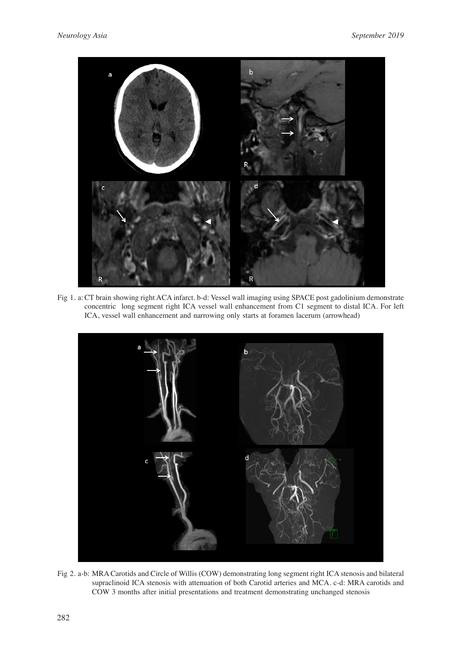

Fig 1. a:CT brain showing right ACA infarct. b-d: Vessel wall imaging using SPACE post gadolinium demonstrate concentric long segment right ICA vessel wall enhancement from C1 segment to distal ICA. For left ICA, vessel wall enhancement and narrowing only starts at foramen lacerum (arrowhead)



Fig 2. a-b: MRA Carotids and Circle of Willis (COW) demonstrating long segment right ICA stenosis and bilateral supraclinoid ICA stenosis with attenuation of both Carotid arteries and MCA. c-d: MRA carotids and COW 3 months after initial presentations and treatment demonstrating unchanged stenosis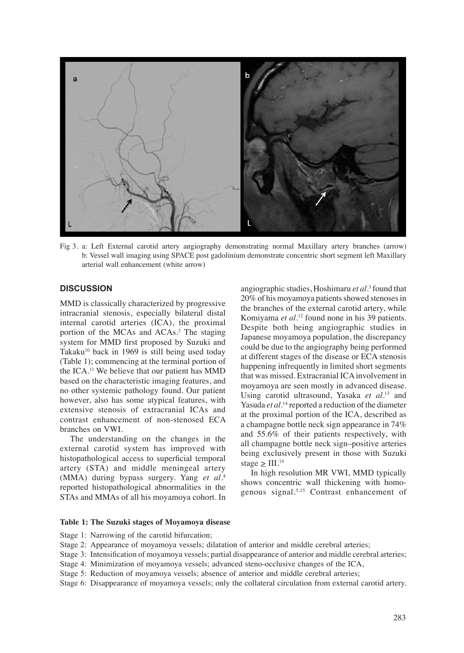

Fig 3. a: Left External carotid artery angiography demonstrating normal Maxillary artery branches (arrow) b: Vessel wall imaging using SPACE post gadolinium demonstrate concentric short segment left Maxillary arterial wall enhancement (white arrow)

# **DISCUSSION**

MMD is classically characterized by progressive intracranial stenosis, especially bilateral distal internal carotid arteries (ICA), the proximal portion of the MCAs and ACAs.<sup>2</sup> The staging system for MMD first proposed by Suzuki and Takaku<sup>10</sup> back in 1969 is still being used today (Table 1); commencing at the terminal portion of the ICA.11 We believe that our patient has MMD based on the characteristic imaging features, and no other systemic pathology found. Our patient however, also has some atypical features, with extensive stenosis of extracranial ICAs and contrast enhancement of non-stenosed ECA branches on VWI.

The understanding on the changes in the external carotid system has improved with histopathological access to superficial temporal artery (STA) and middle meningeal artery (MMA) during bypass surgery. Yang *et al*. 4 reported histopathological abnormalities in the STAs and MMAs of all his moyamoya cohort. In

angiographic studies, Hoshimaru *et al.*<sup>3</sup> found that 20% of his moyamoya patients showed stenoses in the branches of the external carotid artery, while Komiyama *et al*. 12 found none in his 39 patients. Despite both being angiographic studies in Japanese moyamoya population, the discrepancy could be due to the angiography being performed at different stages of the disease or ECA stenosis happening infrequently in limited short segments that was missed. Extracranial ICA involvement in moyamoya are seen mostly in advanced disease. Using carotid ultrasound, Yasaka *et al*. 13 and Yasuda *et al.*14 reported a reduction of the diameter at the proximal portion of the ICA, described as a champagne bottle neck sign appearance in 74% and 55.6% of their patients respectively, with all champagne bottle neck sign–positive arteries being exclusively present in those with Suzuki stage  $\geq$  III.<sup>14</sup>

In high resolution MR VWI, MMD typically shows concentric wall thickening with homogenous signal.5,15 Contrast enhancement of

#### **Table 1: The Suzuki stages of Moyamoya disease**

- Stage 1: Narrowing of the carotid bifurcation;
- Stage 2: Appearance of moyamoya vessels; dilatation of anterior and middle cerebral arteries;
- Stage 3: Intensification of moyamoya vessels; partial disappearance of anterior and middle cerebral arteries;
- Stage 4: Minimization of moyamoya vessels; advanced steno-occlusive changes of the ICA,
- Stage 5: Reduction of moyamoya vessels; absence of anterior and middle cerebral arteries;
- Stage 6: Disappearance of moyamoya vessels; only the collateral circulation from external carotid artery.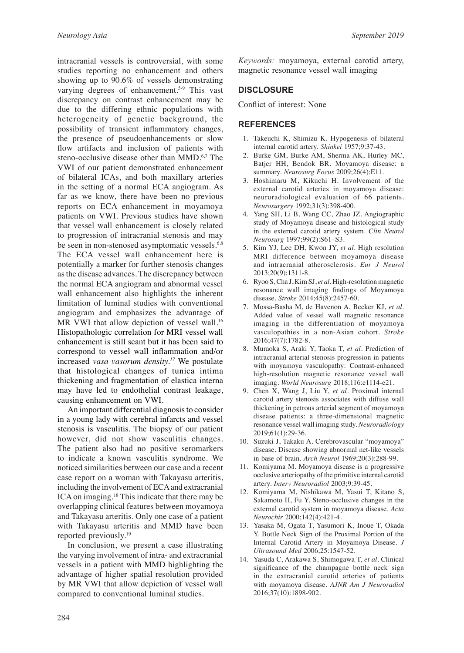intracranial vessels is controversial, with some studies reporting no enhancement and others showing up to 90.6% of vessels demonstrating varying degrees of enhancement.<sup>5.9</sup> This vast discrepancy on contrast enhancement may be due to the differing ethnic populations with heterogeneity of genetic background, the possibility of transient inflammatory changes, the presence of pseudoenhancements or slow flow artifacts and inclusion of patients with steno-occlusive disease other than MMD.<sup>6,7</sup> The VWI of our patient demonstrated enhancement of bilateral ICAs, and both maxillary arteries in the setting of a normal ECA angiogram. As far as we know, there have been no previous reports on ECA enhancement in moyamoya patients on VWI. Previous studies have shown that vessel wall enhancement is closely related to progression of intracranial stenosis and may be seen in non-stenosed asymptomatic vessels.<sup>6,8</sup> The ECA vessel wall enhancement here is potentially a marker for further stenosis changes as the disease advances. The discrepancy between the normal ECA angiogram and abnormal vessel wall enhancement also highlights the inherent limitation of luminal studies with conventional angiogram and emphasizes the advantage of MR VWI that allow depiction of vessel wall.<sup>16</sup> Histopathologic correlation for MRI vessel wall enhancement is still scant but it has been said to correspond to vessel wall inflammation and/or increased *vasa vasorum density.17* We postulate that histological changes of tunica intima thickening and fragmentation of elastica interna may have led to endothelial contrast leakage, causing enhancement on VWI.

An important differential diagnosis to consider in a young lady with cerebral infarcts and vessel stenosis is vasculitis. The biopsy of our patient however, did not show vasculitis changes. The patient also had no positive seromarkers to indicate a known vasculitis syndrome. We noticed similarities between our case and a recent case report on a woman with Takayasu arteritis, including the involvement of ECA and extracranial ICA on imaging.18 This indicate that there may be overlapping clinical features between moyamoya and Takayasu arteritis. Only one case of a patient with Takayasu arteritis and MMD have been reported previously.19

In conclusion, we present a case illustrating the varying involvement of intra- and extracranial vessels in a patient with MMD highlighting the advantage of higher spatial resolution provided by MR VWI that allow depiction of vessel wall compared to conventional luminal studies.

*Keywords:* moyamoya, external carotid artery, magnetic resonance vessel wall imaging

## **DISCLOSURE**

Conflict of interest: None

#### **REFERENCES**

- 1. Takeuchi K, Shimizu K. Hypogenesis of bilateral internal carotid artery. *Shinkei* 1957;9:37-43.
- 2. Burke GM, Burke AM, Sherma AK, Hurley MC, Batjer HH, Bendok BR. Moyamoya disease: a summary. *Neurosurg Focus* 2009;26(4):E11.
- 3. Hoshimaru M, Kikuchi H. Involvement of the external carotid arteries in moyamoya disease: neuroradiological evaluation of 66 patients. *Neurosurgery* 1992;31(3):398-400.
- 4. Yang SH, Li B, Wang CC, Zhao JZ. Angiographic study of Moyamoya disease and histological study in the external carotid artery system. *Clin Neurol Neurosurg* 1997;99(2):S61–S3.
- 5. Kim YJ, Lee DH, Kwon JY, *et al*. High resolution MRI difference between moyamoya disease and intracranial atherosclerosis. *Eur J Neurol* 2013;20(9):1311-8.
- 6. Ryoo S, Cha J, Kim SJ, *et al*. High-resolution magnetic resonance wall imaging findings of Moyamoya disease. *Stroke* 2014;45(8):2457-60.
- 7. Mossa-Basha M, de Havenon A, Becker KJ, *et al*. Added value of vessel wall magnetic resonance imaging in the differentiation of moyamoya vasculopathies in a non-Asian cohort. *Stroke*  2016;47(7):1782-8.
- 8. Muraoka S, Araki Y, Taoka T, *et al*. Prediction of intracranial arterial stenosis progression in patients with moyamoya vasculopathy: Contrast-enhanced high-resolution magnetic resonance vessel wall imaging. *World Neurosurg* 2018;116:e1114-e21.
- 9. Chen X, Wang J, Liu Y, *et al*. Proximal internal carotid artery stenosis associates with diffuse wall thickening in petrous arterial segment of moyamoya disease patients: a three-dimensional magnetic resonance vessel wall imaging study. *Neuroradiology* 2019;61(1):29-36.
- 10. Suzuki J, Takaku A. Cerebrovascular "moyamoya" disease. Disease showing abnormal net-like vessels in base of brain. *Arch Neurol* 1969;20(3):288-99.
- 11. Komiyama M. Moyamoya disease is a progressive occlusive arteriopathy of the primitive internal carotid artery. *Interv Neuroradiol* 2003;9:39-45.
- 12. Komiyama M, Nishikawa M, Yasui T, Kitano S, Sakamoto H, Fu Y. Steno-occlusive changes in the external carotid system in moyamoya disease. *Acta Neurochir* 2000;142(4):421-4.
- 13. Yasaka M, Ogata T, Yasumori K, Inoue T, Okada Y. Bottle Neck Sign of the Proximal Portion of the Internal Carotid Artery in Moyamoya Disease. *J Ultrasound Med* 2006;25:1547-52.
- 14. Yasuda C, Arakawa S, Shimogawa T, *et al*. Clinical significance of the champagne bottle neck sign in the extracranial carotid arteries of patients with moyamoya disease. *AJNR Am J Neuroradiol* 2016;37(10):1898-902.